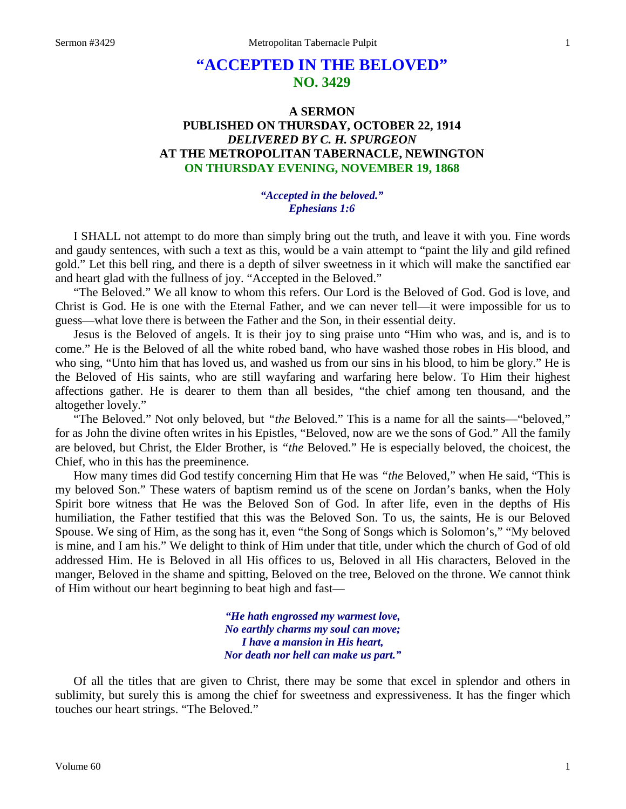# **"ACCEPTED IN THE BELOVED" NO. 3429**

## **A SERMON PUBLISHED ON THURSDAY, OCTOBER 22, 1914** *DELIVERED BY C. H. SPURGEON* **AT THE METROPOLITAN TABERNACLE, NEWINGTON ON THURSDAY EVENING, NOVEMBER 19, 1868**

### *"Accepted in the beloved." Ephesians 1:6*

I SHALL not attempt to do more than simply bring out the truth, and leave it with you. Fine words and gaudy sentences, with such a text as this, would be a vain attempt to "paint the lily and gild refined gold." Let this bell ring, and there is a depth of silver sweetness in it which will make the sanctified ear and heart glad with the fullness of joy. "Accepted in the Beloved."

"The Beloved." We all know to whom this refers. Our Lord is the Beloved of God. God is love, and Christ is God. He is one with the Eternal Father, and we can never tell—it were impossible for us to guess—what love there is between the Father and the Son, in their essential deity.

Jesus is the Beloved of angels. It is their joy to sing praise unto "Him who was, and is, and is to come." He is the Beloved of all the white robed band, who have washed those robes in His blood, and who sing, "Unto him that has loved us, and washed us from our sins in his blood, to him be glory." He is the Beloved of His saints, who are still wayfaring and warfaring here below. To Him their highest affections gather. He is dearer to them than all besides, "the chief among ten thousand, and the altogether lovely."

"The Beloved." Not only beloved, but *"the* Beloved." This is a name for all the saints—"beloved," for as John the divine often writes in his Epistles, "Beloved, now are we the sons of God." All the family are beloved, but Christ, the Elder Brother, is *"the* Beloved." He is especially beloved, the choicest, the Chief, who in this has the preeminence.

How many times did God testify concerning Him that He was *"the* Beloved," when He said, "This is my beloved Son." These waters of baptism remind us of the scene on Jordan's banks, when the Holy Spirit bore witness that He was the Beloved Son of God. In after life, even in the depths of His humiliation, the Father testified that this was the Beloved Son. To us, the saints, He is our Beloved Spouse. We sing of Him, as the song has it, even "the Song of Songs which is Solomon's," "My beloved is mine, and I am his." We delight to think of Him under that title, under which the church of God of old addressed Him. He is Beloved in all His offices to us, Beloved in all His characters, Beloved in the manger, Beloved in the shame and spitting, Beloved on the tree, Beloved on the throne. We cannot think of Him without our heart beginning to beat high and fast—

> *"He hath engrossed my warmest love, No earthly charms my soul can move; I have a mansion in His heart, Nor death nor hell can make us part."*

Of all the titles that are given to Christ, there may be some that excel in splendor and others in sublimity, but surely this is among the chief for sweetness and expressiveness. It has the finger which touches our heart strings. "The Beloved."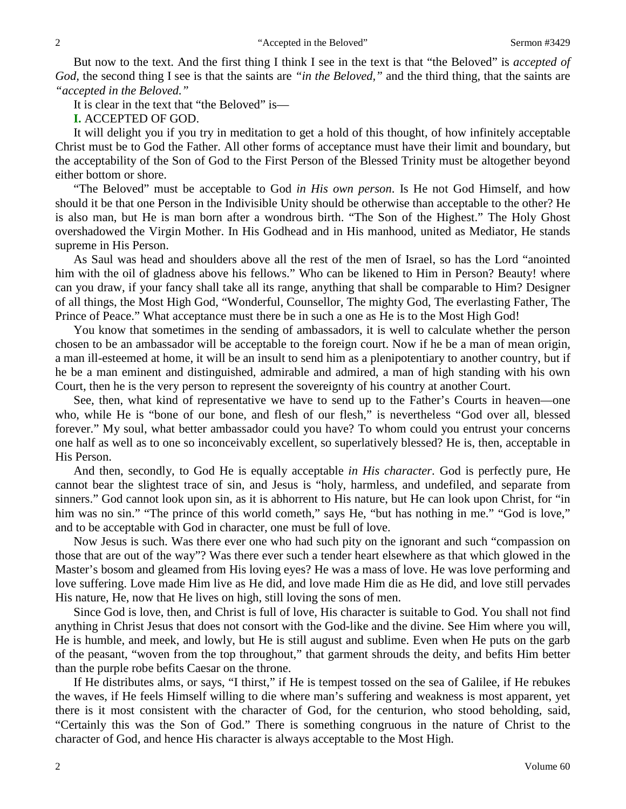But now to the text. And the first thing I think I see in the text is that "the Beloved" is *accepted of God,* the second thing I see is that the saints are *"in the Beloved,"* and the third thing, that the saints are *"accepted in the Beloved."*

It is clear in the text that "the Beloved" is—

**I.** ACCEPTED OF GOD.

It will delight you if you try in meditation to get a hold of this thought, of how infinitely acceptable Christ must be to God the Father. All other forms of acceptance must have their limit and boundary, but the acceptability of the Son of God to the First Person of the Blessed Trinity must be altogether beyond either bottom or shore.

"The Beloved" must be acceptable to God *in His own person*. Is He not God Himself, and how should it be that one Person in the Indivisible Unity should be otherwise than acceptable to the other? He is also man, but He is man born after a wondrous birth. "The Son of the Highest." The Holy Ghost overshadowed the Virgin Mother. In His Godhead and in His manhood, united as Mediator, He stands supreme in His Person.

As Saul was head and shoulders above all the rest of the men of Israel, so has the Lord "anointed him with the oil of gladness above his fellows." Who can be likened to Him in Person? Beauty! where can you draw, if your fancy shall take all its range, anything that shall be comparable to Him? Designer of all things, the Most High God, "Wonderful, Counsellor, The mighty God, The everlasting Father, The Prince of Peace." What acceptance must there be in such a one as He is to the Most High God!

You know that sometimes in the sending of ambassadors, it is well to calculate whether the person chosen to be an ambassador will be acceptable to the foreign court. Now if he be a man of mean origin, a man ill-esteemed at home, it will be an insult to send him as a plenipotentiary to another country, but if he be a man eminent and distinguished, admirable and admired, a man of high standing with his own Court, then he is the very person to represent the sovereignty of his country at another Court.

See, then, what kind of representative we have to send up to the Father's Courts in heaven—one who, while He is "bone of our bone, and flesh of our flesh," is nevertheless "God over all, blessed forever." My soul, what better ambassador could you have? To whom could you entrust your concerns one half as well as to one so inconceivably excellent, so superlatively blessed? He is, then, acceptable in His Person.

And then, secondly, to God He is equally acceptable *in His character*. God is perfectly pure, He cannot bear the slightest trace of sin, and Jesus is "holy, harmless, and undefiled, and separate from sinners." God cannot look upon sin, as it is abhorrent to His nature, but He can look upon Christ, for "in him was no sin." "The prince of this world cometh," says He, "but has nothing in me." "God is love," and to be acceptable with God in character, one must be full of love.

Now Jesus is such. Was there ever one who had such pity on the ignorant and such "compassion on those that are out of the way"? Was there ever such a tender heart elsewhere as that which glowed in the Master's bosom and gleamed from His loving eyes? He was a mass of love. He was love performing and love suffering. Love made Him live as He did, and love made Him die as He did, and love still pervades His nature, He, now that He lives on high, still loving the sons of men.

Since God is love, then, and Christ is full of love, His character is suitable to God. You shall not find anything in Christ Jesus that does not consort with the God-like and the divine. See Him where you will, He is humble, and meek, and lowly, but He is still august and sublime. Even when He puts on the garb of the peasant, "woven from the top throughout," that garment shrouds the deity, and befits Him better than the purple robe befits Caesar on the throne.

If He distributes alms, or says, "I thirst," if He is tempest tossed on the sea of Galilee, if He rebukes the waves, if He feels Himself willing to die where man's suffering and weakness is most apparent, yet there is it most consistent with the character of God, for the centurion, who stood beholding, said, "Certainly this was the Son of God." There is something congruous in the nature of Christ to the character of God, and hence His character is always acceptable to the Most High.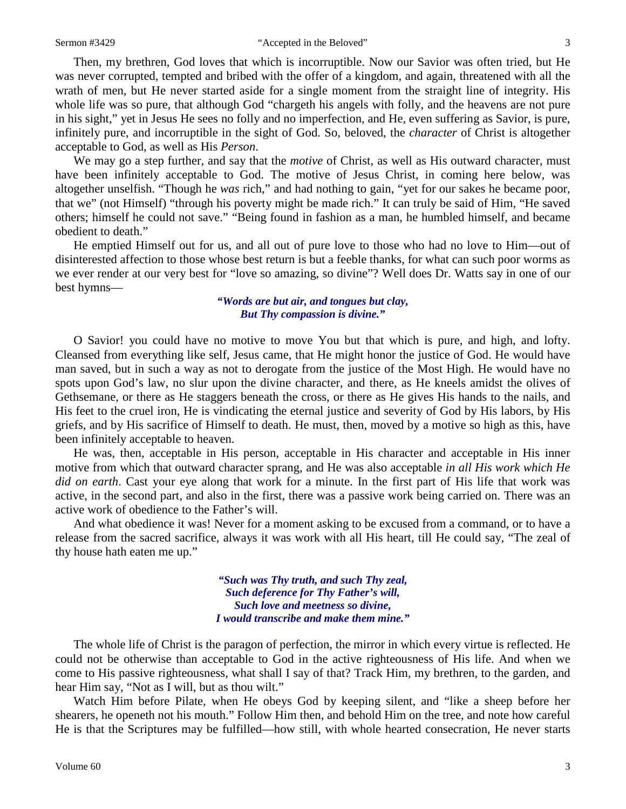#### Sermon #3429 "Accepted in the Beloved" 3

Then, my brethren, God loves that which is incorruptible. Now our Savior was often tried, but He was never corrupted, tempted and bribed with the offer of a kingdom, and again, threatened with all the wrath of men, but He never started aside for a single moment from the straight line of integrity. His whole life was so pure, that although God "chargeth his angels with folly, and the heavens are not pure in his sight," yet in Jesus He sees no folly and no imperfection, and He, even suffering as Savior, is pure, infinitely pure, and incorruptible in the sight of God. So, beloved, the *character* of Christ is altogether acceptable to God, as well as His *Person*.

We may go a step further, and say that the *motive* of Christ, as well as His outward character, must have been infinitely acceptable to God. The motive of Jesus Christ, in coming here below, was altogether unselfish. "Though he *was* rich," and had nothing to gain, "yet for our sakes he became poor, that we" (not Himself) "through his poverty might be made rich." It can truly be said of Him, "He saved others; himself he could not save." "Being found in fashion as a man, he humbled himself, and became obedient to death."

He emptied Himself out for us, and all out of pure love to those who had no love to Him—out of disinterested affection to those whose best return is but a feeble thanks, for what can such poor worms as we ever render at our very best for "love so amazing, so divine"? Well does Dr. Watts say in one of our best hymns—

> *"Words are but air, and tongues but clay, But Thy compassion is divine."*

O Savior! you could have no motive to move You but that which is pure, and high, and lofty. Cleansed from everything like self, Jesus came, that He might honor the justice of God. He would have man saved, but in such a way as not to derogate from the justice of the Most High. He would have no spots upon God's law, no slur upon the divine character, and there, as He kneels amidst the olives of Gethsemane, or there as He staggers beneath the cross, or there as He gives His hands to the nails, and His feet to the cruel iron, He is vindicating the eternal justice and severity of God by His labors, by His griefs, and by His sacrifice of Himself to death. He must, then, moved by a motive so high as this, have been infinitely acceptable to heaven.

He was, then, acceptable in His person, acceptable in His character and acceptable in His inner motive from which that outward character sprang, and He was also acceptable *in all His work which He did on earth*. Cast your eye along that work for a minute. In the first part of His life that work was active, in the second part, and also in the first, there was a passive work being carried on. There was an active work of obedience to the Father's will.

And what obedience it was! Never for a moment asking to be excused from a command, or to have a release from the sacred sacrifice, always it was work with all His heart, till He could say, "The zeal of thy house hath eaten me up."

> *"Such was Thy truth, and such Thy zeal, Such deference for Thy Father's will, Such love and meetness so divine, I would transcribe and make them mine."*

The whole life of Christ is the paragon of perfection, the mirror in which every virtue is reflected. He could not be otherwise than acceptable to God in the active righteousness of His life. And when we come to His passive righteousness, what shall I say of that? Track Him, my brethren, to the garden, and hear Him say, "Not as I will, but as thou wilt."

Watch Him before Pilate, when He obeys God by keeping silent, and "like a sheep before her shearers, he openeth not his mouth." Follow Him then, and behold Him on the tree, and note how careful He is that the Scriptures may be fulfilled—how still, with whole hearted consecration, He never starts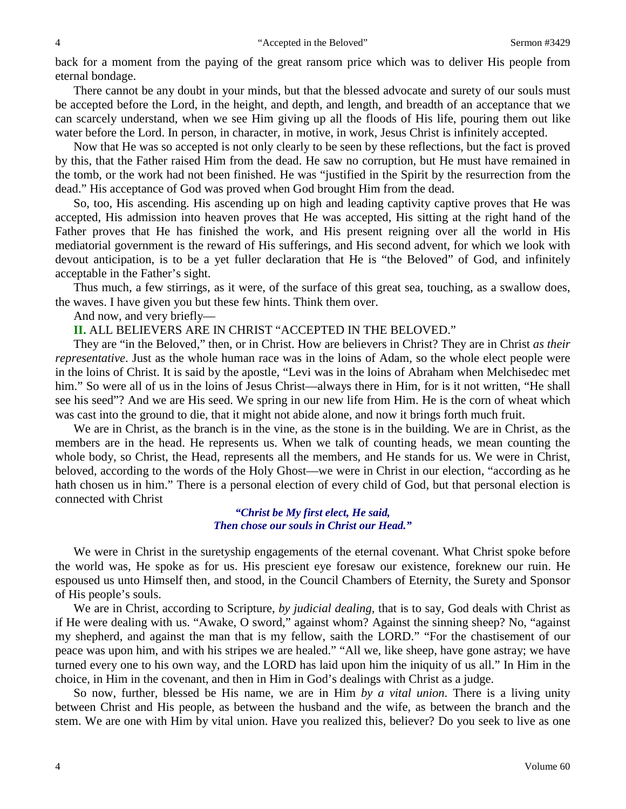back for a moment from the paying of the great ransom price which was to deliver His people from eternal bondage.

There cannot be any doubt in your minds, but that the blessed advocate and surety of our souls must be accepted before the Lord, in the height, and depth, and length, and breadth of an acceptance that we can scarcely understand, when we see Him giving up all the floods of His life, pouring them out like water before the Lord. In person, in character, in motive, in work, Jesus Christ is infinitely accepted.

Now that He was so accepted is not only clearly to be seen by these reflections, but the fact is proved by this, that the Father raised Him from the dead. He saw no corruption, but He must have remained in the tomb, or the work had not been finished. He was "justified in the Spirit by the resurrection from the dead." His acceptance of God was proved when God brought Him from the dead.

So, too, His ascending. His ascending up on high and leading captivity captive proves that He was accepted, His admission into heaven proves that He was accepted, His sitting at the right hand of the Father proves that He has finished the work, and His present reigning over all the world in His mediatorial government is the reward of His sufferings, and His second advent, for which we look with devout anticipation, is to be a yet fuller declaration that He is "the Beloved" of God, and infinitely acceptable in the Father's sight.

Thus much, a few stirrings, as it were, of the surface of this great sea, touching, as a swallow does, the waves. I have given you but these few hints. Think them over.

And now, and very briefly—

**II.** ALL BELIEVERS ARE IN CHRIST "ACCEPTED IN THE BELOVED."

They are "in the Beloved," then, or in Christ. How are believers in Christ? They are in Christ *as their representative*. Just as the whole human race was in the loins of Adam, so the whole elect people were in the loins of Christ. It is said by the apostle, "Levi was in the loins of Abraham when Melchisedec met him." So were all of us in the loins of Jesus Christ—always there in Him, for is it not written, "He shall see his seed"? And we are His seed. We spring in our new life from Him. He is the corn of wheat which was cast into the ground to die, that it might not abide alone, and now it brings forth much fruit.

We are in Christ, as the branch is in the vine, as the stone is in the building. We are in Christ, as the members are in the head. He represents us. When we talk of counting heads, we mean counting the whole body, so Christ, the Head, represents all the members, and He stands for us. We were in Christ, beloved, according to the words of the Holy Ghost—we were in Christ in our election, "according as he hath chosen us in him." There is a personal election of every child of God, but that personal election is connected with Christ

> *"Christ be My first elect, He said, Then chose our souls in Christ our Head."*

We were in Christ in the suretyship engagements of the eternal covenant. What Christ spoke before the world was, He spoke as for us. His prescient eye foresaw our existence, foreknew our ruin. He espoused us unto Himself then, and stood, in the Council Chambers of Eternity, the Surety and Sponsor of His people's souls.

We are in Christ, according to Scripture, *by judicial dealing,* that is to say, God deals with Christ as if He were dealing with us. "Awake, O sword," against whom? Against the sinning sheep? No, "against my shepherd, and against the man that is my fellow, saith the LORD." "For the chastisement of our peace was upon him, and with his stripes we are healed." "All we, like sheep, have gone astray; we have turned every one to his own way, and the LORD has laid upon him the iniquity of us all." In Him in the choice, in Him in the covenant, and then in Him in God's dealings with Christ as a judge.

So now, further, blessed be His name, we are in Him *by a vital union*. There is a living unity between Christ and His people, as between the husband and the wife, as between the branch and the stem. We are one with Him by vital union. Have you realized this, believer? Do you seek to live as one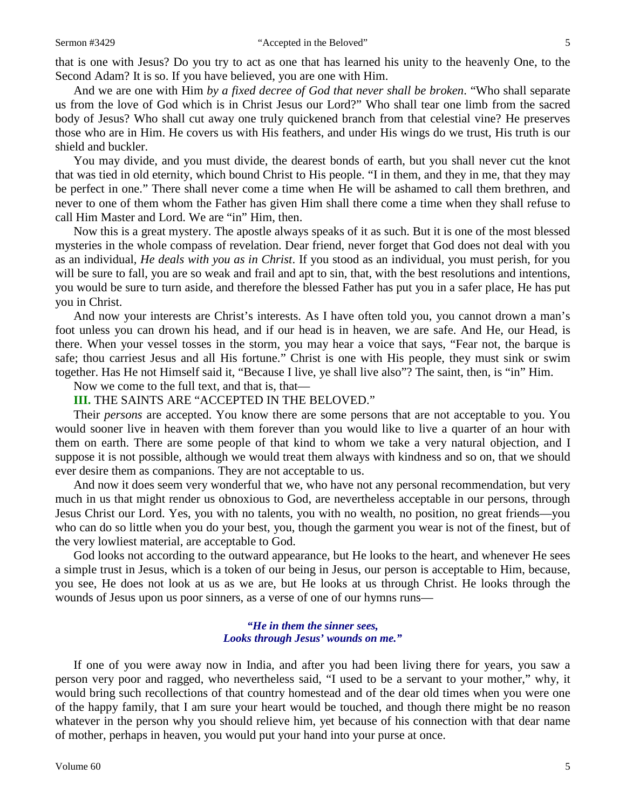that is one with Jesus? Do you try to act as one that has learned his unity to the heavenly One, to the Second Adam? It is so. If you have believed, you are one with Him.

And we are one with Him *by a fixed decree of God that never shall be broken*. "Who shall separate us from the love of God which is in Christ Jesus our Lord?" Who shall tear one limb from the sacred body of Jesus? Who shall cut away one truly quickened branch from that celestial vine? He preserves those who are in Him. He covers us with His feathers, and under His wings do we trust, His truth is our shield and buckler.

You may divide, and you must divide, the dearest bonds of earth, but you shall never cut the knot that was tied in old eternity, which bound Christ to His people. "I in them, and they in me, that they may be perfect in one." There shall never come a time when He will be ashamed to call them brethren, and never to one of them whom the Father has given Him shall there come a time when they shall refuse to call Him Master and Lord. We are "in" Him, then.

Now this is a great mystery. The apostle always speaks of it as such. But it is one of the most blessed mysteries in the whole compass of revelation. Dear friend, never forget that God does not deal with you as an individual, *He deals with you as in Christ*. If you stood as an individual, you must perish, for you will be sure to fall, you are so weak and frail and apt to sin, that, with the best resolutions and intentions, you would be sure to turn aside, and therefore the blessed Father has put you in a safer place, He has put you in Christ.

And now your interests are Christ's interests. As I have often told you, you cannot drown a man's foot unless you can drown his head, and if our head is in heaven, we are safe. And He, our Head, is there. When your vessel tosses in the storm, you may hear a voice that says, "Fear not, the barque is safe; thou carriest Jesus and all His fortune." Christ is one with His people, they must sink or swim together. Has He not Himself said it, "Because I live, ye shall live also"? The saint, then, is "in" Him.

Now we come to the full text, and that is, that—

**III.** THE SAINTS ARE "ACCEPTED IN THE BELOVED."

Their *persons* are accepted. You know there are some persons that are not acceptable to you. You would sooner live in heaven with them forever than you would like to live a quarter of an hour with them on earth. There are some people of that kind to whom we take a very natural objection, and I suppose it is not possible, although we would treat them always with kindness and so on, that we should ever desire them as companions. They are not acceptable to us.

And now it does seem very wonderful that we, who have not any personal recommendation, but very much in us that might render us obnoxious to God, are nevertheless acceptable in our persons, through Jesus Christ our Lord. Yes, you with no talents, you with no wealth, no position, no great friends—you who can do so little when you do your best, you, though the garment you wear is not of the finest, but of the very lowliest material, are acceptable to God.

God looks not according to the outward appearance, but He looks to the heart, and whenever He sees a simple trust in Jesus, which is a token of our being in Jesus, our person is acceptable to Him, because, you see, He does not look at us as we are, but He looks at us through Christ. He looks through the wounds of Jesus upon us poor sinners, as a verse of one of our hymns runs—

## *"He in them the sinner sees, Looks through Jesus' wounds on me."*

If one of you were away now in India, and after you had been living there for years, you saw a person very poor and ragged, who nevertheless said, "I used to be a servant to your mother," why, it would bring such recollections of that country homestead and of the dear old times when you were one of the happy family, that I am sure your heart would be touched, and though there might be no reason whatever in the person why you should relieve him, yet because of his connection with that dear name of mother, perhaps in heaven, you would put your hand into your purse at once.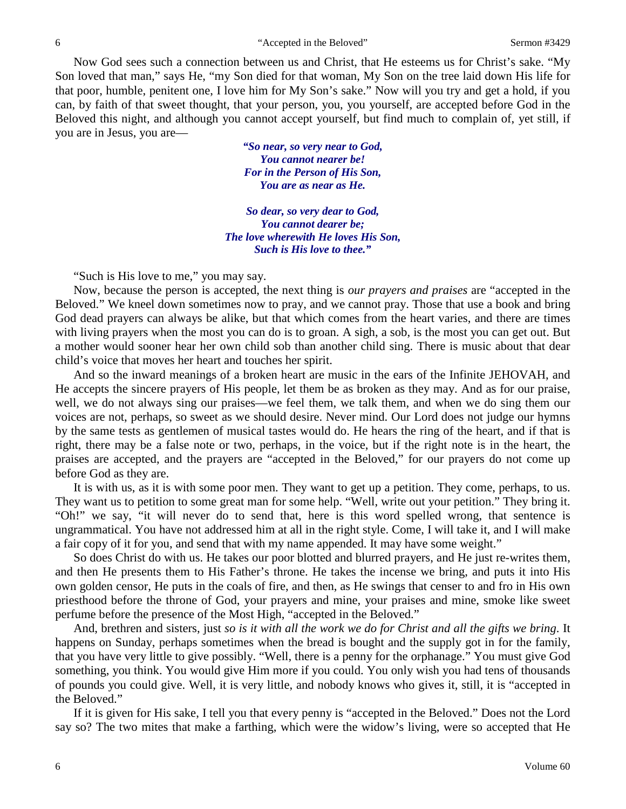Now God sees such a connection between us and Christ, that He esteems us for Christ's sake. "My Son loved that man," says He, "my Son died for that woman, My Son on the tree laid down His life for that poor, humble, penitent one, I love him for My Son's sake." Now will you try and get a hold, if you can, by faith of that sweet thought, that your person, you, you yourself, are accepted before God in the Beloved this night, and although you cannot accept yourself, but find much to complain of, yet still, if you are in Jesus, you are—

> *"So near, so very near to God, You cannot nearer be! For in the Person of His Son, You are as near as He.*

*So dear, so very dear to God, You cannot dearer be; The love wherewith He loves His Son, Such is His love to thee."*

"Such is His love to me," you may say.

Now, because the person is accepted, the next thing is *our prayers and praises* are "accepted in the Beloved." We kneel down sometimes now to pray, and we cannot pray. Those that use a book and bring God dead prayers can always be alike, but that which comes from the heart varies, and there are times with living prayers when the most you can do is to groan. A sigh, a sob, is the most you can get out. But a mother would sooner hear her own child sob than another child sing. There is music about that dear child's voice that moves her heart and touches her spirit.

And so the inward meanings of a broken heart are music in the ears of the Infinite JEHOVAH, and He accepts the sincere prayers of His people, let them be as broken as they may. And as for our praise, well, we do not always sing our praises—we feel them, we talk them, and when we do sing them our voices are not, perhaps, so sweet as we should desire. Never mind. Our Lord does not judge our hymns by the same tests as gentlemen of musical tastes would do. He hears the ring of the heart, and if that is right, there may be a false note or two, perhaps, in the voice, but if the right note is in the heart, the praises are accepted, and the prayers are "accepted in the Beloved," for our prayers do not come up before God as they are.

It is with us, as it is with some poor men. They want to get up a petition. They come, perhaps, to us. They want us to petition to some great man for some help. "Well, write out your petition." They bring it. "Oh!" we say, "it will never do to send that, here is this word spelled wrong, that sentence is ungrammatical. You have not addressed him at all in the right style. Come, I will take it, and I will make a fair copy of it for you, and send that with my name appended. It may have some weight."

So does Christ do with us. He takes our poor blotted and blurred prayers, and He just re-writes them, and then He presents them to His Father's throne. He takes the incense we bring, and puts it into His own golden censor, He puts in the coals of fire, and then, as He swings that censer to and fro in His own priesthood before the throne of God, your prayers and mine, your praises and mine, smoke like sweet perfume before the presence of the Most High, "accepted in the Beloved."

And, brethren and sisters, just *so is it with all the work we do for Christ and all the gifts we bring*. It happens on Sunday, perhaps sometimes when the bread is bought and the supply got in for the family, that you have very little to give possibly. "Well, there is a penny for the orphanage." You must give God something, you think. You would give Him more if you could. You only wish you had tens of thousands of pounds you could give. Well, it is very little, and nobody knows who gives it, still, it is "accepted in the Beloved."

If it is given for His sake, I tell you that every penny is "accepted in the Beloved." Does not the Lord say so? The two mites that make a farthing, which were the widow's living, were so accepted that He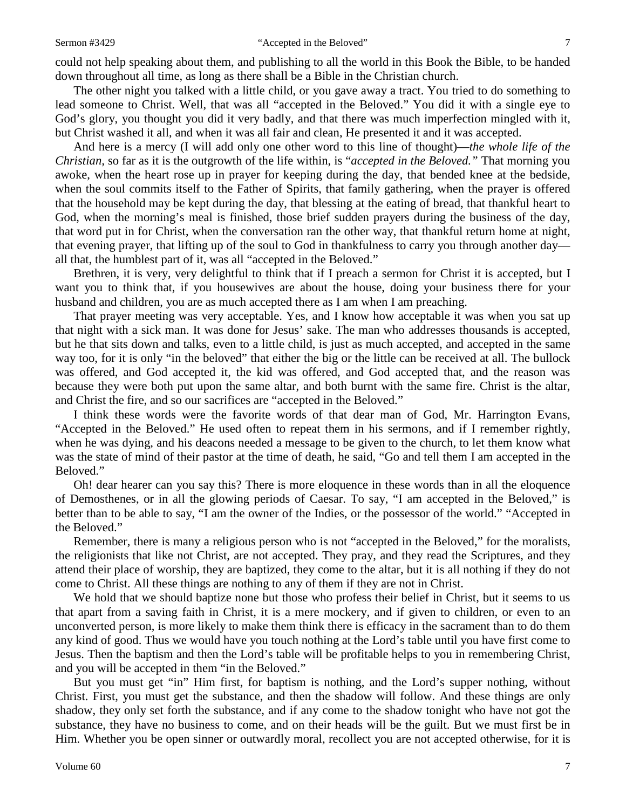could not help speaking about them, and publishing to all the world in this Book the Bible, to be handed down throughout all time, as long as there shall be a Bible in the Christian church.

The other night you talked with a little child, or you gave away a tract. You tried to do something to lead someone to Christ. Well, that was all "accepted in the Beloved." You did it with a single eye to God's glory, you thought you did it very badly, and that there was much imperfection mingled with it, but Christ washed it all, and when it was all fair and clean, He presented it and it was accepted.

And here is a mercy (I will add only one other word to this line of thought)—*the whole life of the Christian,* so far as it is the outgrowth of the life within, is "*accepted in the Beloved."* That morning you awoke, when the heart rose up in prayer for keeping during the day, that bended knee at the bedside, when the soul commits itself to the Father of Spirits, that family gathering, when the prayer is offered that the household may be kept during the day, that blessing at the eating of bread, that thankful heart to God, when the morning's meal is finished, those brief sudden prayers during the business of the day, that word put in for Christ, when the conversation ran the other way, that thankful return home at night, that evening prayer, that lifting up of the soul to God in thankfulness to carry you through another day all that, the humblest part of it, was all "accepted in the Beloved."

Brethren, it is very, very delightful to think that if I preach a sermon for Christ it is accepted, but I want you to think that, if you housewives are about the house, doing your business there for your husband and children, you are as much accepted there as I am when I am preaching.

That prayer meeting was very acceptable. Yes, and I know how acceptable it was when you sat up that night with a sick man. It was done for Jesus' sake. The man who addresses thousands is accepted, but he that sits down and talks, even to a little child, is just as much accepted, and accepted in the same way too, for it is only "in the beloved" that either the big or the little can be received at all. The bullock was offered, and God accepted it, the kid was offered, and God accepted that, and the reason was because they were both put upon the same altar, and both burnt with the same fire. Christ is the altar, and Christ the fire, and so our sacrifices are "accepted in the Beloved."

I think these words were the favorite words of that dear man of God, Mr. Harrington Evans, "Accepted in the Beloved." He used often to repeat them in his sermons, and if I remember rightly, when he was dying, and his deacons needed a message to be given to the church, to let them know what was the state of mind of their pastor at the time of death, he said, "Go and tell them I am accepted in the Beloved."

Oh! dear hearer can you say this? There is more eloquence in these words than in all the eloquence of Demosthenes, or in all the glowing periods of Caesar. To say, "I am accepted in the Beloved," is better than to be able to say, "I am the owner of the Indies, or the possessor of the world." "Accepted in the Beloved."

Remember, there is many a religious person who is not "accepted in the Beloved," for the moralists, the religionists that like not Christ, are not accepted. They pray, and they read the Scriptures, and they attend their place of worship, they are baptized, they come to the altar, but it is all nothing if they do not come to Christ. All these things are nothing to any of them if they are not in Christ.

We hold that we should baptize none but those who profess their belief in Christ, but it seems to us that apart from a saving faith in Christ, it is a mere mockery, and if given to children, or even to an unconverted person, is more likely to make them think there is efficacy in the sacrament than to do them any kind of good. Thus we would have you touch nothing at the Lord's table until you have first come to Jesus. Then the baptism and then the Lord's table will be profitable helps to you in remembering Christ, and you will be accepted in them "in the Beloved."

But you must get "in" Him first, for baptism is nothing, and the Lord's supper nothing, without Christ. First, you must get the substance, and then the shadow will follow. And these things are only shadow, they only set forth the substance, and if any come to the shadow tonight who have not got the substance, they have no business to come, and on their heads will be the guilt. But we must first be in Him. Whether you be open sinner or outwardly moral, recollect you are not accepted otherwise, for it is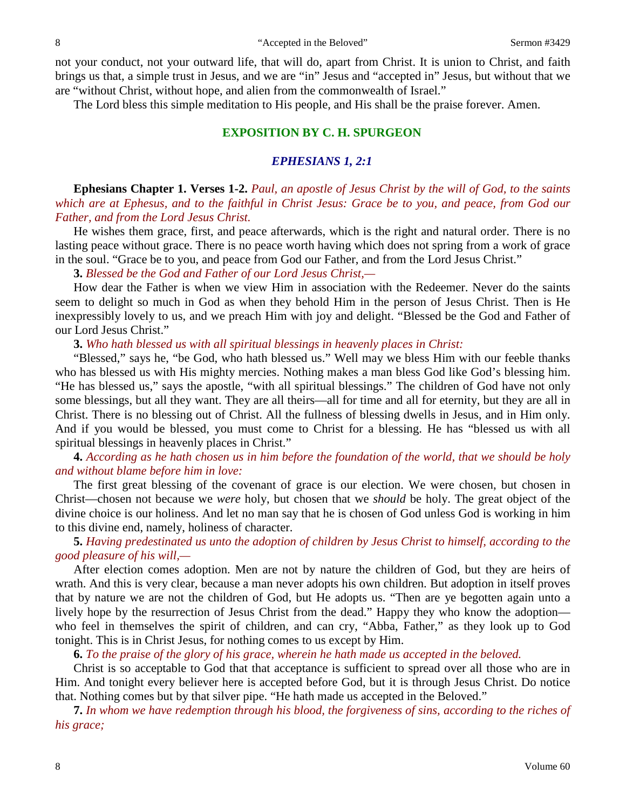not your conduct, not your outward life, that will do, apart from Christ. It is union to Christ, and faith brings us that, a simple trust in Jesus, and we are "in" Jesus and "accepted in" Jesus, but without that we are "without Christ, without hope, and alien from the commonwealth of Israel."

The Lord bless this simple meditation to His people, and His shall be the praise forever. Amen.

## **EXPOSITION BY C. H. SPURGEON**

## *EPHESIANS 1, 2:1*

**Ephesians Chapter 1. Verses 1-2.** *Paul, an apostle of Jesus Christ by the will of God, to the saints which are at Ephesus, and to the faithful in Christ Jesus: Grace be to you, and peace, from God our Father, and from the Lord Jesus Christ.*

He wishes them grace, first, and peace afterwards, which is the right and natural order. There is no lasting peace without grace. There is no peace worth having which does not spring from a work of grace in the soul. "Grace be to you, and peace from God our Father, and from the Lord Jesus Christ."

**3.** *Blessed be the God and Father of our Lord Jesus Christ,—*

How dear the Father is when we view Him in association with the Redeemer. Never do the saints seem to delight so much in God as when they behold Him in the person of Jesus Christ. Then is He inexpressibly lovely to us, and we preach Him with joy and delight. "Blessed be the God and Father of our Lord Jesus Christ."

**3.** *Who hath blessed us with all spiritual blessings in heavenly places in Christ:*

"Blessed," says he, "be God, who hath blessed us." Well may we bless Him with our feeble thanks who has blessed us with His mighty mercies. Nothing makes a man bless God like God's blessing him. "He has blessed us," says the apostle, "with all spiritual blessings." The children of God have not only some blessings, but all they want. They are all theirs—all for time and all for eternity, but they are all in Christ. There is no blessing out of Christ. All the fullness of blessing dwells in Jesus, and in Him only. And if you would be blessed, you must come to Christ for a blessing. He has "blessed us with all spiritual blessings in heavenly places in Christ."

**4.** *According as he hath chosen us in him before the foundation of the world, that we should be holy and without blame before him in love:*

The first great blessing of the covenant of grace is our election. We were chosen, but chosen in Christ—chosen not because we *were* holy, but chosen that we *should* be holy. The great object of the divine choice is our holiness. And let no man say that he is chosen of God unless God is working in him to this divine end, namely, holiness of character.

**5.** *Having predestinated us unto the adoption of children by Jesus Christ to himself, according to the good pleasure of his will,—*

After election comes adoption. Men are not by nature the children of God, but they are heirs of wrath. And this is very clear, because a man never adopts his own children. But adoption in itself proves that by nature we are not the children of God, but He adopts us. "Then are ye begotten again unto a lively hope by the resurrection of Jesus Christ from the dead." Happy they who know the adoption who feel in themselves the spirit of children, and can cry, "Abba, Father," as they look up to God tonight. This is in Christ Jesus, for nothing comes to us except by Him.

**6.** *To the praise of the glory of his grace, wherein he hath made us accepted in the beloved.*

Christ is so acceptable to God that that acceptance is sufficient to spread over all those who are in Him. And tonight every believer here is accepted before God, but it is through Jesus Christ. Do notice that. Nothing comes but by that silver pipe. "He hath made us accepted in the Beloved."

**7.** *In whom we have redemption through his blood, the forgiveness of sins, according to the riches of his grace;*